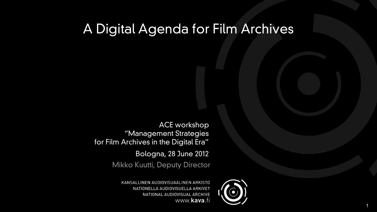# A Digital Agenda for Film Archives

Mikko Kuutti, Deputy Director



KANSALLINEN AUDIOVISUAALINEN ARKISTO NATIONELLA AUDIOVISUELLA ARKIVET NATIONAL AUDIOVISUAL ARCHIVE www.kava.fi

ACE workshop "Management Strategies for Film Archives in the Digital Era"

Bologna, 28 June 2012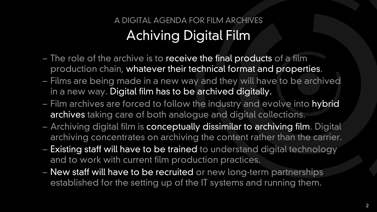## A DIGITAL AGENDA FOR FILM ARCHIVES Achiving Digital Film

- $-$  The role of the archive is to receive the final products of a film production chain, whatever their technical format and properties.
- Films are being made in a new way and they will have to be archived in a new way. Digital film has to be archived digitally.
- Film archives are forced to follow the industry and evolve into hybrid archives taking care of both analogue and digital collections.
- Archiving digital film is conceptually dissimilar to archiving film. Digital archiving concentrates on archiving the content rather than the carrier.
- Existing staff will have to be trained to understand digital technology and to work with current film production practices.
- New staff will have to be recruited or new long-term partnerships established for the setting up of the IT systems and running them.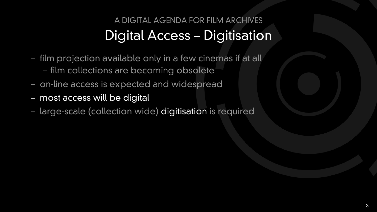## A DIGITAL AGENDA FOR FILM ARCHIVES Digital Access – Digitisation

- film projection available only in a few cinemas if at all – film collections are becoming obsolete
- on-line access is expected and widespread
- most access will be digital
- large-scale (collection wide) digitisation is required

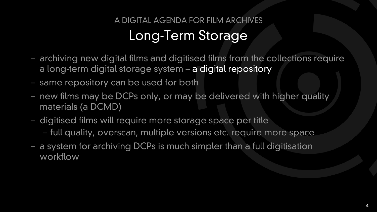## A DIGITAL AGENDA FOR FILM ARCHIVES Long-Term Storage

- archiving new digital films and digitised films from the collections require a long-term digital storage system – a digital repository
- same repository can be used for both
- new films may be DCPs only, or may be delivered with higher quality materials (a DCMD)
- digitised films will require more storage space per title – full quality, overscan, multiple versions etc. require more space
- a system for archiving DCPs is much simpler than a full digitisation workflow